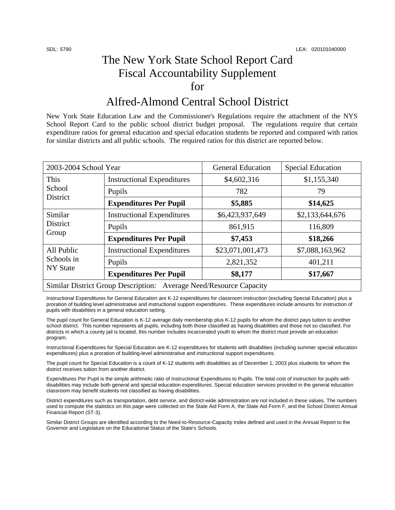## The New York State School Report Card Fiscal Accountability Supplement for

## Alfred-Almond Central School District

New York State Education Law and the Commissioner's Regulations require the attachment of the NYS School Report Card to the public school district budget proposal. The regulations require that certain expenditure ratios for general education and special education students be reported and compared with ratios for similar districts and all public schools. The required ratios for this district are reported below.

| 2003-2004 School Year                                              |                                   | <b>General Education</b> | <b>Special Education</b> |  |
|--------------------------------------------------------------------|-----------------------------------|--------------------------|--------------------------|--|
| This<br>School<br>District                                         | <b>Instructional Expenditures</b> | \$4,602,316              | \$1,155,340              |  |
|                                                                    | Pupils                            | 782                      | 79                       |  |
|                                                                    | <b>Expenditures Per Pupil</b>     | \$5,885                  | \$14,625                 |  |
| Similar<br>District<br>Group                                       | <b>Instructional Expenditures</b> | \$6,423,937,649          | \$2,133,644,676          |  |
|                                                                    | Pupils                            | 861,915                  | 116,809                  |  |
|                                                                    | <b>Expenditures Per Pupil</b>     | \$7,453                  | \$18,266                 |  |
| All Public<br>Schools in<br><b>NY</b> State                        | <b>Instructional Expenditures</b> | \$23,071,001,473         | \$7,088,163,962          |  |
|                                                                    | Pupils                            | 2,821,352                | 401,211                  |  |
|                                                                    | <b>Expenditures Per Pupil</b>     | \$8,177                  | \$17,667                 |  |
| Similar District Group Description: Average Need/Resource Capacity |                                   |                          |                          |  |

Instructional Expenditures for General Education are K-12 expenditures for classroom instruction (excluding Special Education) plus a proration of building level administrative and instructional support expenditures. These expenditures include amounts for instruction of pupils with disabilities in a general education setting.

The pupil count for General Education is K-12 average daily membership plus K-12 pupils for whom the district pays tuition to another school district. This number represents all pupils, including both those classified as having disabilities and those not so classified. For districts in which a county jail is located, this number includes incarcerated youth to whom the district must provide an education program.

Instructional Expenditures for Special Education are K-12 expenditures for students with disabilities (including summer special education expenditures) plus a proration of building-level administrative and instructional support expenditures.

The pupil count for Special Education is a count of K-12 students with disabilities as of December 1, 2003 plus students for whom the district receives tuition from another district.

Expenditures Per Pupil is the simple arithmetic ratio of Instructional Expenditures to Pupils. The total cost of instruction for pupils with disabilities may include both general and special education expenditures. Special education services provided in the general education classroom may benefit students not classified as having disabilities.

District expenditures such as transportation, debt service, and district-wide administration are not included in these values. The numbers used to compute the statistics on this page were collected on the State Aid Form A, the State Aid Form F, and the School District Annual Financial Report (ST-3).

Similar District Groups are identified according to the Need-to-Resource-Capacity Index defined and used in the Annual Report to the Governor and Legislature on the Educational Status of the State's Schools.